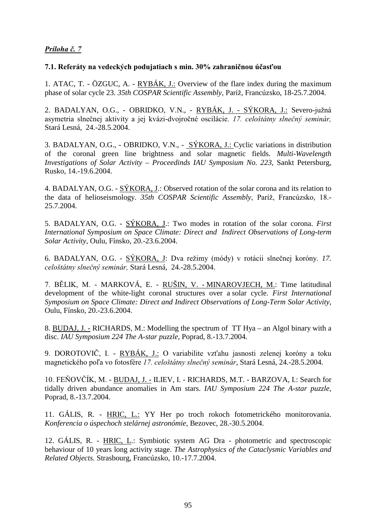## Príloha č. 7

## 7.1. Referáty na vedeckých podujatiach s min. 30% zahraničnou účasťou

1. ATAC, T. - ÖZGUC, A. -  $RYB\tilde{A}K$ , J.: Overview of the flare index during the maximum phase of solar cycle 23. 35th COSPAR Scientific Assembly, Paríž, Francúzsko, 18-25.7.2004.

2. BADALYAN, O.G., - OBRIDKO, V.N., - <u>RYBÁK, J. - SÝKORA, J.:</u> Severo-južná asymetria slnečnej aktivity a jej kvázi-dvojročné oscilácie. 17. celoštátny slnečný seminár, Stará Lesná, 24.-28.5.2004.

3. BADALYAN, O.G., - OBRIDKO, V.N., - SÝKORA, J.: Cyclic variations in distribution of the coronal green line brightness and solar magnetic fields. *Multi-Wavelength Investigations of Solar Activity – Proceedinds IAU Symposium No. 223,* Sankt Petersburg, Rusko, 14.-19.6.2004.

4. BADALYAN, O.G. - SÝKORA, J.: Observed rotation of the solar corona and its relation to the data of helioseismology. 35th COSPAR Scientific Assembly, Paríž, Francúzsko, 18.-25.7.2004.

5. BADALYAN, O.G. - SÝKORA, J.: Two modes in rotation of the solar corona. *First International Symposium on Space Climate: Direct and Indirect Observations of Long-term Solar Activity,* Oulu, Fínsko, 20.-23.6.2004.

6. BADALYAN, O.G. - SÝKORA, J: Dva režimy (módy) v rotácii slnečnej koróny. 17. celoštátny slnečný seminár, Stará Lesná, 24.-28.5.2004.

7. BĚLIK, M. - MARKOVÁ, E. - RUŠIN, V. - MINAROVJECH, M.: Time latitudinal development of the white-light coronal structures over a solar cycle. *First International Symposium on Space Climate: Direct and Indirect Observations of Long-Term Solar Activity*, Oulu, Fínsko, 20.-23.6.2004.

8. BUDAJ, J. - RICHARDS, M.: Modelling the spectrum of TT Hya – an Algol binary with a disc. *IAU Symposium 224 The A-star puzzle*, Poprad, 8.-13.7.2004.

9. DOROTOVIČ, I. - RYBÁK, J.: O variabilite vzťahu jasnosti zelenej koróny a toku magnetického poľa vo fotosfére 17. celoštátny slnečný seminár, Stará Lesná, 24.-28.5.2004.

10. FEŇOVČÍK, M. - BUDAJ, J. - ILIEV, I. - RICHARDS, M.T. - BARZOVA, I.: Search for tidally driven abundance anomalies in Am stars. *IAU Symposium 224 The A-star puzzle*, Poprad, 8.-13.7.2004.

11. GÁLIS, R. - HRIC, L.: YY Her po troch rokoch fotometrického monitorovania. *Konferencia o úspechoch stelárnej astronómie,* Bezovec, 28.-30.5.2004.

12. GÁLIS, R. - HRIC, L.: Symbiotic system AG Dra - photometric and spectroscopic behaviour of 10 years long activity stage. *The Astrophysics of the Cataclysmic Variables and Related Objects.* Strasbourg, Francúzsko, 10.-17.7.2004.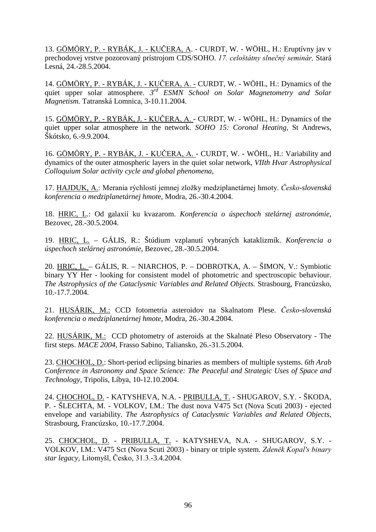13. GÖMÖRY, P. - RYBÁK, J. - KUČERA, A. - CURDT, W. - WÖHL, H.: Eruptívny jav v prechodovej vrstve pozorovaný prístrojom CDS/SOHO. 17. celoštátny slnečný seminár, Stará Lesná, 24.-28.5.2004.

14. GÖMÖRY, P. - RYBÁK, J. - KUČERA, A. - CURDT, W. - WÖHL, H.: Dynamics of the quiet upper solar atmosphere. *3rd ESMN School on Solar Magnetometry and Solar Magnetism.* Tatranská Lomnica, 3-10.11.2004.

15. GÖMÖRY, P. - RYBÁK, J. - KUČERA, A. - CURDT, W. - WÖHL, H.: Dynamics of the quiet upper solar atmosphere in the network. *SOHO 15: Coronal Heating,* St Andrews, Škótsko, 6.-9.9.2004.

16. GÖMÖRY, P. - RYBÁK, J. - KUČERA, A. - CURDT, W. - WÖHL, H.: Variability and dynamics of the outer atmospheric layers in the quiet solar network, *VIIth Hvar Astrophysical Colloquium Solar activity cycle and global phenomena*,

17. HAJDUK, A.: Merania rýchlostí jemnej zložky medziplanetárnej hmoty. Česko-slovenská *konferencia o medziplanetárnej hmot*e, Modra, 26.-30.4.2004.

18. HRIC, L.: Od galaxií ku kvazarom. *Konferencia o úspechoch stelárnej astronómie*, Bezovec, 28.-30.5.2004.

19. HRIC, L. – GÁLIS, R.: Štúdium vzplanutí vybraných kataklizmík. *Konferencia o úspechoch stelárnej astronómie*, Bezovec, 28.-30.5.2004.

20. HRIC, L. – GÁLIS, R. – NIARCHOS, P. – DOBROTKA, A. – ŠIMON, V.: Symbiotic binary YY Her - looking for consistent model of photometric and spectroscopic behaviour. *The Astrophysics of the Cataclysmic Variables and Related Objects.* Strasbourg, Francúzsko, 10.-17.7.2004.

21. HUSÁRIK, M.: CCD fotometria asteroidov na Skalnatom Plese. *Česko-slovenská konferencia o medziplanetárnej hmote*, Modra, 26.-30.4.2004.

22. HUSÁRIK, M.: CCD photometry of asteroids at the Skalnaté Pleso Observatory - The first steps. *MACE 2004*, Frasso Sabino, Taliansko, 26.-31.5.2004.

23. CHOCHOL, D.: Short-period eclipsing binaries as members of multiple systems. *6th Arab Conference in Astronomy and Space Science: The Peaceful and Strategic Uses of Space and Technology,* Tripolis, Líbya, 10-12.10.2004.

24. CHOCHOL, D. - KATYSHEVA, N.A. - PRIBULLA, T. - SHUGAROV, S.Y. - ŠKODA, P. - ŠLECHTA, M. - VOLKOV, I.M.: The dust nova V475 Sct (Nova Scuti 2003) - ejected envelope and variability. *The Astrophysics of Cataclysmic Variables and Related Objects*, Strasbourg, Francúzsko, 10.-17.7.2004.

25. CHOCHOL, D. - PRIBULLA, T. - KATYSHEVA, N.A. - SHUGAROV, S.Y. - VOLKOV, I.M.: V475 Sct (Nova Scuti 2003) - binary or triple system. Zdeněk Kopal's binary star legacy, Litomyšl, Česko, 31.3.-3.4.2004.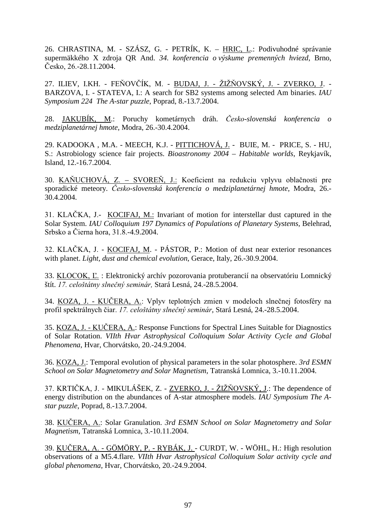26. CHRASTINA, M. - SZÁSZ, G. - PETRÍK, K. – HRIC, L.: Podivuhodné správanie supermäkkého X zdroja QR And. *34. konferencia o výskume premenných hviezd*, Brno,  $Česko, 26.-28.11.2004.$ 

27. ILIEV, I.KH. - FEŇOVČÍK, M. - <u>BUDAJ, J. - ŽIŽŇOVSKÝ, J. - ZVERKO, J</u>. -BARZOVA, I. - STATEVA, I.: A search for SB2 systems among selected Am binaries. *IAU Symposium 224 The A-star puzzle*, Poprad, 8.-13.7.2004.

28. JAKUBÍK, M.: Poruchy kometárnych dráh. Česko-slovenská konferencia o *medziplanetárnej hmote,* Modra, 26.-30.4.2004.

29. KADOOKA , M.A. - MEECH, K.J. - PITTICHOVÁ, J. - BUIE, M. - PRICE, S. - HU, S.: Astrobiology science fair projects. *Bioastronomy 2004 – Habitable worlds*, Reykjavík, Island, 12.-16.7.2004.

30. KAŇUCHOVÁ, Z. – SVOREŇ, J.: Koeficient na redukciu vplyvu oblačnosti pre sporadické meteory. *Česko-slovenská konferencia o medziplanetárnej hmote*, Modra, 26.-30.4.2004.

31. KLAČKA, J.- KOCIFAJ, M.: Invariant of motion for interstellar dust captured in the Solar System. *IAU Colloquium 197 Dynamics of Populations of Planetary Systems*, Belehrad, Srbsko a Čierna hora, 31.8.-4.9.2004.

32. KLAČKA, J. - KOCIFAJ, M. - PÁSTOR, P.: Motion of dust near exterior resonances with planet. *Light, dust and chemical evolution*, Gerace, Italy, 26.-30.9.2004.

33. KLOCOK, Ľ.: Elektronický archív pozorovania protuberancií na observatóriu Lomnický štít. 17. celoštátny slnečný seminár, Stará Lesná, 24.-28.5.2004.

34. KOZA, J. - KUČERA, A.: Vplyv teplotných zmien v modeloch slnečnej fotosféry na profil spektrálnych čiar. 17. celoštátny slnečný seminár, Stará Lesná, 24.-28.5.2004.

35. KOZA, J. - KUČERA, A.: Response Functions for Spectral Lines Suitable for Diagnostics of Solar Rotation. *VIIth Hvar Astrophysical Colloquium Solar Activity Cycle and Global Phenomena*, Hvar, Chorvátsko, 20.-24.9.2004.

36. KOZA, J.: Temporal evolution of physical parameters in the solar photosphere. *3rd ESMN School on Solar Magnetometry and Solar Magnetism*, Tatranská Lomnica, 3.-10.11.2004.

37. KRTIČKA, J. - MIKULÁŠEK, Z. - ZVERKO, J. - ŽIŽŇOVSKÝ, J.: The dependence of energy distribution on the abundances of A-star atmosphere models. *IAU Symposium The Astar puzzle*, Poprad, 8.-13.7.2004.

38. KUČERA, A.: Solar Granulation. *3rd ESMN School on Solar Magnetometry and Solar Magnetism*, Tatranská Lomnica, 3.-10.11.2004.

39. KUČERA, A. - GÖMÖRY, P. - RYBÁK, J. - CURDT, W. - WÖHL, H.: High resolution observations of a M5.4.flare. *VIIth Hvar Astrophysical Colloquium Solar activity cycle and global phenomena,* Hvar, Chorvátsko, 20.-24.9.2004.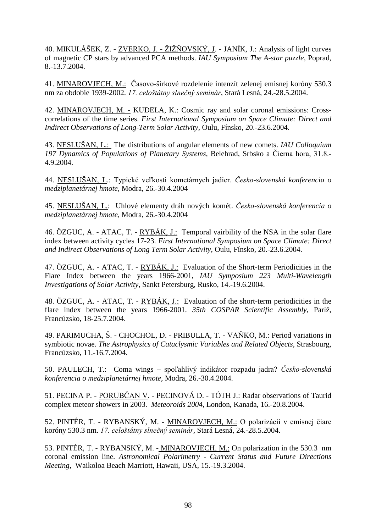40. MIKULÁŠEK, Z. - ZVERKO, J. - ŽIŽŇOVSKÝ, J. - JANÍK, J.: Analysis of light curves of magnetic CP stars by advanced PCA methods. *IAU Symposium The A-star puzzle*, Poprad, 8.-13.7.2004.

41. MINAROVJECH, M.: Časovo-šírkové rozdelenie intenzít zelenej emisnej koróny 530.3 nm za obdobie 1939-2002. 17. celoštátny slnečný seminár, Stará Lesná, 24.-28.5.2004.

42. MINAROVJECH, M. - KUDELA, K.: Cosmic ray and solar coronal emissions: Crosscorrelations of the time series. *First International Symposium on Space Climate: Direct and Indirect Observations of Long-Term Solar Activity,* Oulu, Fínsko, 20.-23.6.2004.

43. NESLUŠAN, L.: The distributions of angular elements of new comets. *IAU Colloquium*  197 Dynamics of Populations of Planetary Systems, Belehrad, Srbsko a Čierna hora, 31.8.-4.9.2004.

44. <u>NESLUŠAN, L</u>.: Typické veľkosti kometárnych jadier. Česko-slovenská konferencia o *medziplanetárnej hmote,* Modra, 26.-30.4.2004

45. NESLUŠAN, L.: Uhlové elementy dráh nových komét. Česko-slovenská konferencia o *medziplanetárnej hmote,* Modra, 26.-30.4.2004

46. ÖZGUC, A. - ATAC, T. - RYBÁK, J.: Temporal vairbility of the NSA in the solar flare index between activity cycles 17-23. *First International Symposium on Space Climate: Direct and Indirect Observations of Long Term Solar Activity,* Oulu, Fínsko, 20.-23.6.2004.

47. ÖZGUC, A. - ATAC, T. - RYBÁK, J.: Evaluation of the Short-term Periodicities in the Flare Index between the years 1966-2001, *IAU Symposium 223 Multi-Wavelength Investigations of Solar Activity,* Sankt Petersburg, Rusko, 14.-19.6.2004.

48. ÖZGUC, A. - ATAC, T. - RYBÁK, J.: Evaluation of the short-term periodicities in the flare index between the years 1966-2001. 35th COSPAR Scientific Assembly, Paríž, Francúzsko, 18-25.7.2004.

49. PARIMUCHA, Š. - CHOCHOL, D. - PRIBULLA, T. - VAŇKO, M.: Period variations in symbiotic novae. *The Astrophysics of Cataclysmic Variables and Related Objects,* Strasbourg, Francúzsko, 11.-16.7.2004.

50. PAULECH, T.: Coma wings - spoľahlivý indikátor rozpadu jadra? Česko-slovenská *konferencia o medziplanetárnej hmote,* Modra, 26.-30.4.2004.

51. PECINA P. - PORUBČAN V. - PECINOVÁ D. - TÓTH J.: Radar observations of Taurid complex meteor showers in 2003. *Meteoroids 2004*, London, Kanada, 16.-20.8.2004.

52. PINTÉR, T. - RYBANSKÝ, M. - MINAROVJECH, M.: O polarizácii v emisnej čiare koróny 530.3 nm. 17. celoštátny slnečný seminár, Stará Lesná, 24.-28.5.2004.

53. PINTÉR, T. - RYBANSKÝ, M. - MINAROVJECH, M.: On polarization in the 530.3 nm coronal emission line. *Astronomical Polarimetry - Current Status and Future Directions Meeting,* Waikoloa Beach Marriott, Hawaii, USA, 15.-19.3.2004.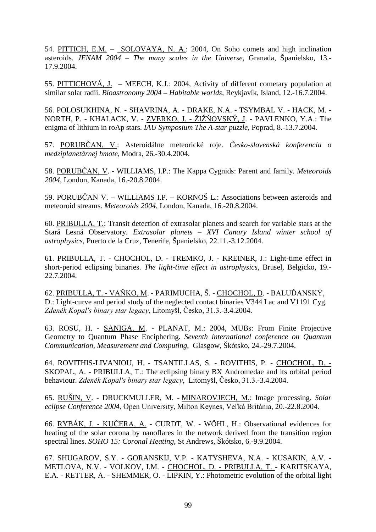54. PITTICH, E.M. – SOLOVAYA, N. A.: 2004, On Soho comets and high inclination asteroids. *JENAM 2004 – The many scales in the Universe*, Granada, Španielsko, 13.- 17.9.2004.

55. PITTICHOVÁ, J. – MEECH, K.J.: 2004, Activity of different cometary population at similar solar radii. *Bioastronomy 2004 – Habitable worlds*, Reykjavík, Island, 12.-16.7.2004.

56. POLOSUKHINA, N. - SHAVRINA, A. - DRAKE, N.A. - TSYMBAL V. - HACK, M. - NORTH, P. - KHALACK, V. - ZVERKO, J. - ŽIŽŇOVSKÝ, J. - PAVLENKO, Y.A.: The enigma of lithium in roAp stars. *IAU Symposium The A-star puzzle*, Poprad, 8.-13.7.2004.

57. PORUBČAN, V.: Asteroidálne meteorické roje. *Česko-slovenská konferencia o medziplanetárnej hmote,* Modra, 26.-30.4.2004.

58. PORUBČAN, V. - WILLIAMS, I.P.: The Kappa Cygnids: Parent and family. *Meteoroids 2004,* London, Kanada, 16.-20.8.2004.

59. PORUBČAN V. – WILLIAMS I.P. – KORNOŠ L.: Associations between asteroids and meteoroid streams. *Meteoroids 2004,* London, Kanada, 16.-20.8.2004.

60. PRIBULLA, T.: Transit detection of extrasolar planets and search for variable stars at the Stará Lesná Observatory. *Extrasolar planets – XVI Canary Island winter school of astrophysics,* Puerto de la Cruz, Tenerife, Španielsko, 22.11.-3.12.2004.

61. PRIBULLA, T. - CHOCHOL, D. - TREMKO, J. - KREINER, J.: Light-time effect in short-period eclipsing binaries. *The light-time effect in astrophysics*, Brusel, Belgicko, 19.- 22.7.2004.

62. PRIBULLA, T. - VAŇKO, M. - PARIMUCHA, Š. - CHOCHOL, D. - BALUĎANSKÝ, D.: Light-curve and period study of the neglected contact binaries V344 Lac and V1191 Cyg. Zdeněk Kopal's binary star legacy, Litomyšl, Česko, 31.3.-3.4.2004.

63. ROSU, H. - SANIGA, M. - PLANAT, M.: 2004, MUBs: From Finite Projective Geometry to Quantum Phase Enciphering. *Seventh international conference on Quantum Communication, Measurement and Computing*, Glasgow, Škótsko, 24.-29.7.2004.

64. ROVITHIS-LIVANIOU, H. - TSANTILLAS, S. - ROVITHIS, P. - CHOCHOL, D. - SKOPAL, A. - PRIBULLA, T.: The eclipsing binary BX Andromedae and its orbital period behaviour. Zdeněk Kopal's binary star legacy, Litomyšl, Česko, 31.3.-3.4.2004.

65. RUŠIN, V. - DRUCKMULLER, M. - MINAROVJECH, M.: Image processing. *Solar*  eclipse Conference 2004, Open University, Milton Keynes, Veľká Británia, 20.-22.8.2004.

66. RYBÁK, J. - KUČERA, A. - CURDT, W. - WÖHL, H.: Observational evidences for heating of the solar corona by nanoflares in the network derived from the transition region spectral lines. *SOHO 15: Coronal Heating,* St Andrews, Škótsko, 6.-9.9.2004.

67. SHUGAROV, S.Y. - GORANSKIJ, V.P. - KATYSHEVA, N.A. - KUSAKIN, A.V. - METLOVA, N.V. - VOLKOV, I.M. - CHOCHOL, D. - PRIBULLA, T. - KARITSKAYA, E.A. - RETTER, A. - SHEMMER, O. - LIPKIN, Y.: Photometric evolution of the orbital light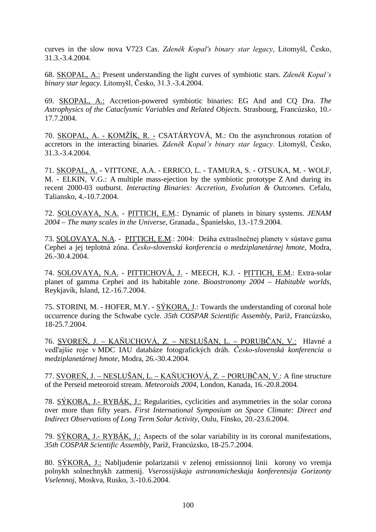curves in the slow nova V723 Cas. Zdeněk Kopal's binary star legacy, Litomyšl, Česko, 31.3.-3.4.2004.

68. SKOPAL, A.: Present understanding the light curves of symbiotic stars. Zdeněk Kopal's binary star legacy. Litomyšl, Česko, 31.3.-3.4.2004.

69. SKOPAL, A.: Accretion-powered symbiotic binaries: EG And and CQ Dra. *The Astrophysics of the Cataclysmic Variables and Related Objects.* Strasbourg, Francúzsko, 10.- 17.7.2004.

70. SKOPAL, A. - KOMŽÍK, R. - CSATÁRYOVÁ, M.: On the asynchronous rotation of accretors in the interacting binaries. Zdeněk Kopal's binary star legacy. Litomyšl, Česko, 31.3.-3.4.2004.

71. SKOPAL, A. - VITTONE, A.A. - ERRICO, L. - TAMURA, S. - OTSUKA, M. - WOLF, M. - ELKIN, V.G.: A multiple mass-ejection by the symbiotic prototype Z And during its recent 2000-03 outburst. *Interacting Binaries: Accretion, Evolution & Outcomes.* Cefalu, Taliansko, 4.-10.7.2004.

72. SOLOVAYA, N.A. - PITTICH, E.M.: Dynamic of planets in binary systems. *JENAM 2004 – The many scales in the Universe*, Granada., Španielsko, 13.-17.9.2004.

73. SOLOVAYA, N.A. - PITTICH, E.M.: 2004: Dráha extraslnečnej planety v sústave gama Cephei a jej teplotná zóna. *Česko-slovenská konferencia o medziplanetárnej hmote*, Modra, 26.-30.4.2004.

74. SOLOVAYA, N.A. - PITTICHOVÁ, J. - MEECH, K.J. - PITTICH, E.M.: Extra-solar planet of gamma Cephei and its habitable zone. *Bioastronomy 2004 – Habitable worlds*, Reykjavík, Island, 12.-16.7.2004.

75. STORINI, M. - HOFER, M.Y. - SÝKORA, J.: Towards the understanding of coronal hole occurrence during the Schwabe cycle. 35th COSPAR Scientific Assembly, Paríž, Francúzsko, 18-25.7.2004.

76. SVOREŇ, J. – KAŇUCHOVÁ, Z. – NESLUŠAN, L. – PORUBČAN, V.: Hlavné a vedľajšie roje v MDC IAU databáze fotografických dráh. *Česko-slovenská konferencia o medziplanetárnej hmote,* Modra, 26.-30.4.2004.

77. SVOREŇ, J. – NESLUŠAN, L. – KAŇUCHOVÁ, Z. – PORUBČAN, V.: A fine structure of the Perseid meteoroid stream. *Meteoroids 2004,* London, Kanada, 16.-20.8.2004.

78. SÝKORA, J.- RYBÁK, J.: Regularities, cyclicities and asymmetries in the solar corona over more than fifty years. *First International Symposium on Space Climate: Direct and Indirect Observations of Long Term Solar Activity,* Oulu, Fínsko, 20.-23.6.2004.

79. SÝKORA, J.- RYBÁK, J.: Aspects of the solar variability in its coronal manifestations, 35th COSPAR Scientific Assembly, Paríž, Francúzsko, 18-25.7.2004.

80. SÝKORA, J.: Nabljudenie polarizatsii v zelenoj emissionnoj linii korony vo vremja polnykh solnechnykh zatmenij. *Vserossijskaja astronomicheskaja konferentsija Gorizonty Vselennoj*, Moskva, Rusko, 3.-10.6.2004.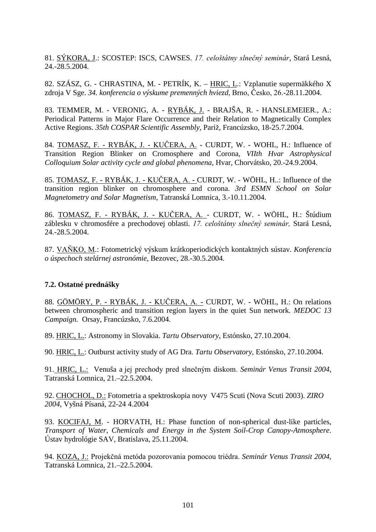81. SÝKORA, J.: SCOSTEP: ISCS, CAWSES. 17. celoštátny slnečný seminár, Stará Lesná, 24.-28.5.2004.

82. SZÁSZ, G. - CHRASTINA, M. - PETRÍK, K. – HRIC, L.: Vzplanutie supermäkkého X zdroja V Sge. 34. konferencia o výskume premenných hviezd, Brno, Česko, 26.-28.11.2004.

83. TEMMER, M. - VERONIG, A. - RYBÁK, J. - BRAJŠA, R. - HANSLEMEIER., A.: Periodical Patterns in Major Flare Occurrence and their Relation to Magnetically Complex Active Regions. 35th COSPAR Scientific Assembly, Paríž, Francúzsko, 18-25.7.2004.

84. TOMASZ, F. - RYBÁK, J. - KUČERA, A. - CURDT, W. - WOHL, H.: Influence of Transition Region Blinker on Cromosphere and Corona*, VIIth Hvar Astrophysical Colloquium Solar activity cycle and global phenomena,* Hvar, Chorvátsko, 20.-24.9.2004.

85. TOMASZ, F. - RYBÁK, J. - KUČERA, A. - CURDT, W. - WÖHL, H..: Influence of the transition region blinker on chromosphere and corona. *3rd ESMN School on Solar Magnetometry and Solar Magnetism*, Tatranská Lomnica, 3.-10.11.2004.

86. TOMASZ, F. - RYBÁK, J. - KUČERA, A. - CURDT, W. - WÖHL, H.: Štúdium záblesku v chromosfére a prechodovej oblasti. 17. celoštátny slnečný seminár, Stará Lesná, 24.-28.5.2004.

87. VAŇKO, M.: Fotometrický výskum krátkoperiodických kontaktných sústav. *Konferencia o úspechoch stelárnej astronómie*, Bezovec, 28.-30.5.2004.

## **7.2. Ostatné prednášky**

88. GÖMÖRY, P. - RYBÁK, J. - KUČERA, A. - CURDT, W. - WÖHL, H.: On relations between chromospheric and transition region layers in the quiet Sun network. *MEDOC 13 Campaign.* Orsay, Francúzsko, 7.6.2004.

89. HRIC, L.: Astronomy in Slovakia. *Tartu Observatory*, Estónsko, 27.10.2004.

90. HRIC, L.: Outburst activity study of AG Dra. *Tartu Observatory*, Estónsko, 27.10.2004.

91. HRIC, L.: Venuša a jej prechody pred slnečným diskom. Seminár Venus Transit 2004, Tatranská Lomnica, 21.–22.5.2004.

92. CHOCHOL, D.: Fotometria a spektroskopia novy V475 Scuti (Nova Scuti 2003). *ZIRO 2004*, Vyšná Písaná, 22-24 4.2004

93. KOCIFAJ, M. - HORVATH, H.: Phase function of non-spherical dust-like particles, *Transport of Water, Chemicals and Energy in the System Soil-Crop Canopy-Atmosphere*. Ústav hydrológie SAV, Bratislava, 25.11.2004.

94. KOZA, J.: Projekčná metóda pozorovania pomocou triédra. Seminár Venus Transit 2004, Tatranská Lomnica, 21.–22.5.2004.